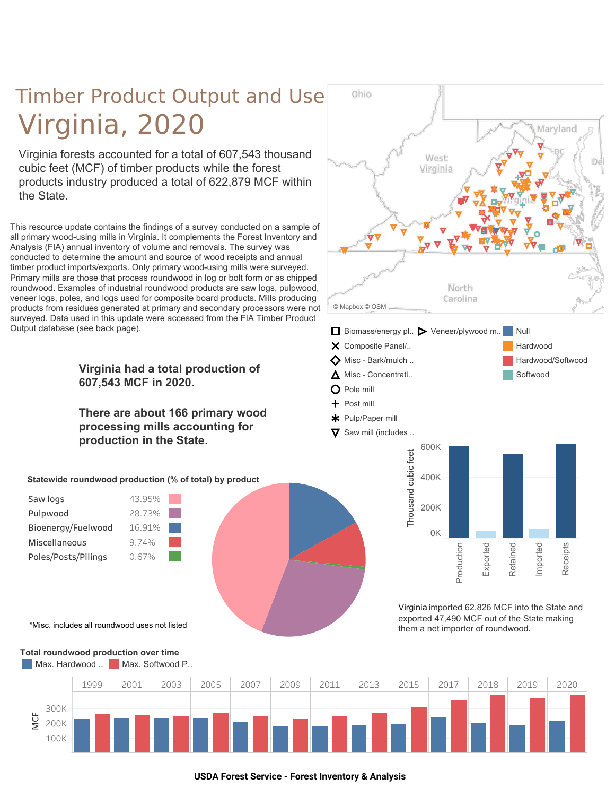# Virginia, 2020 Timber Product Output and Use

Virginia forests accounted for a total of 607,543 thousand cubic feet (MCF) of timber products while the forest products industry produced a total of 622,879 MCF within the State.

This resource update contains the findings of a survey conducted on a sample of all primary wood-using mills in Virginia. It complements the Forest Inventory and Analysis (FIA) annual inventory of volume and removals. The survey was conducted to determine the amount and source of wood receipts and annual timber product imports/exports. Only primary wood-using mills were surveyed. Primary mills are those that process roundwood in log or bolt form or as chipped roundwood. Examples of industrial roundwood products are saw logs, pulpwood, veneer logs, poles, and logs used for composite board products. Mills producing products from residues generated at primary and secondary processors were not surveyed. Data used in this update were accessed from the FIA Timber Product Output database (see back page).

**607,543 MCF in 2020.**

**There are about 166 primary wood processing mills accounting for production in the State.**

**Statewide roundwood production (% of total) by product**

| Saw logs            | 43.95% |  |
|---------------------|--------|--|
| Pulpwood            | 28.73% |  |
| Bioenergy/Fuelwood  | 16.91% |  |
| Miscellaneous       | 9.74%  |  |
| Poles/Posts/Pilings | 0.67%  |  |
|                     |        |  |





Virginia imported 62,826 MCF into the State and exported 47,490 MCF out of the State making them a net importer of roundwood.

\*Misc. includes all roundwood uses not listed



#### **USDA Forest Service - Forest Inventory & Analysis**